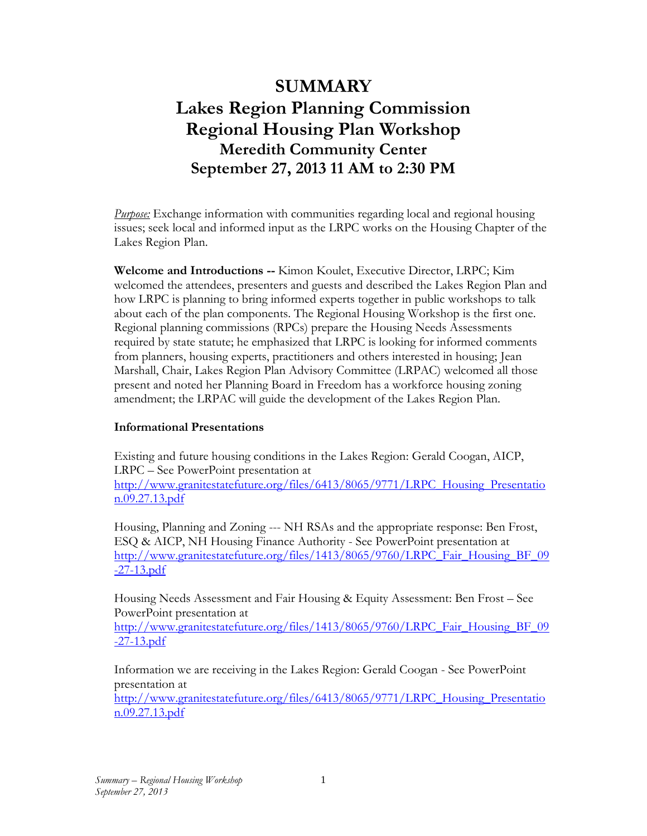## **SUMMARY Lakes Region Planning Commission Regional Housing Plan Workshop Meredith Community Center September 27, 2013 11 AM to 2:30 PM**

*Purpose:* Exchange information with communities regarding local and regional housing issues; seek local and informed input as the LRPC works on the Housing Chapter of the Lakes Region Plan.

**Welcome and Introductions --** Kimon Koulet, Executive Director, LRPC; Kim welcomed the attendees, presenters and guests and described the Lakes Region Plan and how LRPC is planning to bring informed experts together in public workshops to talk about each of the plan components. The Regional Housing Workshop is the first one. Regional planning commissions (RPCs) prepare the Housing Needs Assessments required by state statute; he emphasized that LRPC is looking for informed comments from planners, housing experts, practitioners and others interested in housing; Jean Marshall, Chair, Lakes Region Plan Advisory Committee (LRPAC) welcomed all those present and noted her Planning Board in Freedom has a workforce housing zoning amendment; the LRPAC will guide the development of the Lakes Region Plan.

## **Informational Presentations**

Existing and future housing conditions in the Lakes Region: Gerald Coogan, AICP, LRPC – See PowerPoint presentation at [http://www.granitestatefuture.org/files/6413/8065/9771/LRPC\\_Housing\\_Presentatio](http://www.granitestatefuture.org/files/6413/8065/9771/LRPC_Housing_Presentation.09.27.13.pdf) [n.09.27.13.pdf](http://www.granitestatefuture.org/files/6413/8065/9771/LRPC_Housing_Presentation.09.27.13.pdf)

Housing, Planning and Zoning --- NH RSAs and the appropriate response: Ben Frost, ESQ & AICP, NH Housing Finance Authority - See PowerPoint presentation at [http://www.granitestatefuture.org/files/1413/8065/9760/LRPC\\_Fair\\_Housing\\_BF\\_09](http://www.granitestatefuture.org/files/1413/8065/9760/LRPC_Fair_Housing_BF_09-27-13.pdf) [-27-13.pdf](http://www.granitestatefuture.org/files/1413/8065/9760/LRPC_Fair_Housing_BF_09-27-13.pdf)

Housing Needs Assessment and Fair Housing & Equity Assessment: Ben Frost – See PowerPoint presentation at

[http://www.granitestatefuture.org/files/1413/8065/9760/LRPC\\_Fair\\_Housing\\_BF\\_09](http://www.granitestatefuture.org/files/1413/8065/9760/LRPC_Fair_Housing_BF_09-27-13.pdf) [-27-13.pdf](http://www.granitestatefuture.org/files/1413/8065/9760/LRPC_Fair_Housing_BF_09-27-13.pdf)

Information we are receiving in the Lakes Region: Gerald Coogan - See PowerPoint presentation at

[http://www.granitestatefuture.org/files/6413/8065/9771/LRPC\\_Housing\\_Presentatio](http://www.granitestatefuture.org/files/6413/8065/9771/LRPC_Housing_Presentation.09.27.13.pdf) [n.09.27.13.pdf](http://www.granitestatefuture.org/files/6413/8065/9771/LRPC_Housing_Presentation.09.27.13.pdf)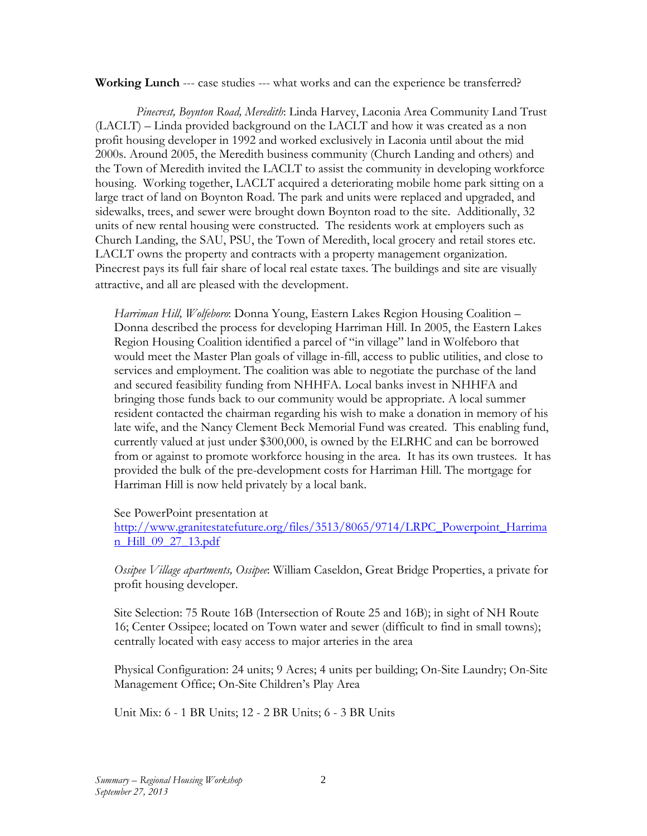**Working Lunch** --- case studies --- what works and can the experience be transferred?

 *Pinecrest, Boynton Road, Meredith*: Linda Harvey, Laconia Area Community Land Trust (LACLT) – Linda provided background on the LACLT and how it was created as a non profit housing developer in 1992 and worked exclusively in Laconia until about the mid 2000s. Around 2005, the Meredith business community (Church Landing and others) and the Town of Meredith invited the LACLT to assist the community in developing workforce housing. Working together, LACLT acquired a deteriorating mobile home park sitting on a large tract of land on Boynton Road. The park and units were replaced and upgraded, and sidewalks, trees, and sewer were brought down Boynton road to the site. Additionally, 32 units of new rental housing were constructed. The residents work at employers such as Church Landing, the SAU, PSU, the Town of Meredith, local grocery and retail stores etc. LACLT owns the property and contracts with a property management organization. Pinecrest pays its full fair share of local real estate taxes. The buildings and site are visually attractive, and all are pleased with the development.

*Harriman Hill, Wolfeboro*: Donna Young, Eastern Lakes Region Housing Coalition – Donna described the process for developing Harriman Hill. In 2005, the Eastern Lakes Region Housing Coalition identified a parcel of "in village" land in Wolfeboro that would meet the Master Plan goals of village in-fill, access to public utilities, and close to services and employment. The coalition was able to negotiate the purchase of the land and secured feasibility funding from NHHFA. Local banks invest in NHHFA and bringing those funds back to our community would be appropriate. A local summer resident contacted the chairman regarding his wish to make a donation in memory of his late wife, and the Nancy Clement Beck Memorial Fund was created. This enabling fund, currently valued at just under \$300,000, is owned by the ELRHC and can be borrowed from or against to promote workforce housing in the area. It has its own trustees. It has provided the bulk of the pre-development costs for Harriman Hill. The mortgage for Harriman Hill is now held privately by a local bank.

## See PowerPoint presentation at

[http://www.granitestatefuture.org/files/3513/8065/9714/LRPC\\_Powerpoint\\_Harrima](http://www.granitestatefuture.org/files/3513/8065/9714/LRPC_Powerpoint_Harriman_Hill_09_27_13.pdf) [n\\_Hill\\_09\\_27\\_13.pdf](http://www.granitestatefuture.org/files/3513/8065/9714/LRPC_Powerpoint_Harriman_Hill_09_27_13.pdf)

*Ossipee Village apartments, Ossipee*: William Caseldon, Great Bridge Properties, a private for profit housing developer.

Site Selection: 75 Route 16B (Intersection of Route 25 and 16B); in sight of NH Route 16; Center Ossipee; located on Town water and sewer (difficult to find in small towns); centrally located with easy access to major arteries in the area

Physical Configuration: 24 units; 9 Acres; 4 units per building; On-Site Laundry; On-Site Management Office; On-Site Children's Play Area

Unit Mix: 6 - 1 BR Units; 12 - 2 BR Units; 6 - 3 BR Units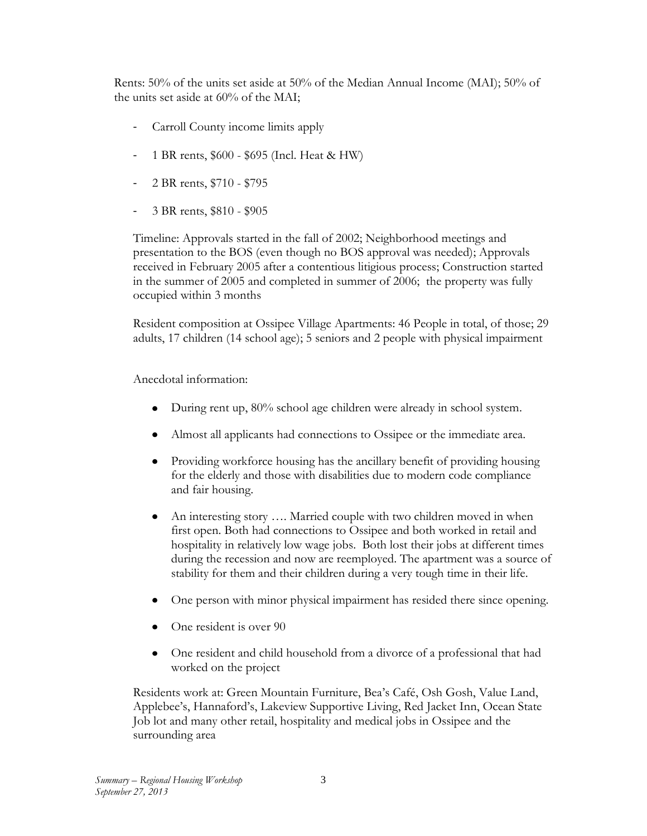Rents: 50% of the units set aside at 50% of the Median Annual Income (MAI); 50% of the units set aside at 60% of the MAI;

- Carroll County income limits apply
- 1 BR rents, \$600 \$695 (Incl. Heat & HW)
- 2 BR rents, \$710 \$795
- 3 BR rents, \$810 \$905

Timeline: Approvals started in the fall of 2002; Neighborhood meetings and presentation to the BOS (even though no BOS approval was needed); Approvals received in February 2005 after a contentious litigious process; Construction started in the summer of 2005 and completed in summer of 2006; the property was fully occupied within 3 months

Resident composition at Ossipee Village Apartments: 46 People in total, of those; 29 adults, 17 children (14 school age); 5 seniors and 2 people with physical impairment

Anecdotal information:

- $\bullet$ During rent up, 80% school age children were already in school system.
- Almost all applicants had connections to Ossipee or the immediate area.
- Providing workforce housing has the ancillary benefit of providing housing  $\bullet$ for the elderly and those with disabilities due to modern code compliance and fair housing.
- An interesting story …. Married couple with two children moved in when  $\bullet$ first open. Both had connections to Ossipee and both worked in retail and hospitality in relatively low wage jobs. Both lost their jobs at different times during the recession and now are reemployed. The apartment was a source of stability for them and their children during a very tough time in their life.
- One person with minor physical impairment has resided there since opening.
- One resident is over 90
- One resident and child household from a divorce of a professional that had worked on the project

Residents work at: Green Mountain Furniture, Bea's Café, Osh Gosh, Value Land, Applebee's, Hannaford's, Lakeview Supportive Living, Red Jacket Inn, Ocean State Job lot and many other retail, hospitality and medical jobs in Ossipee and the surrounding area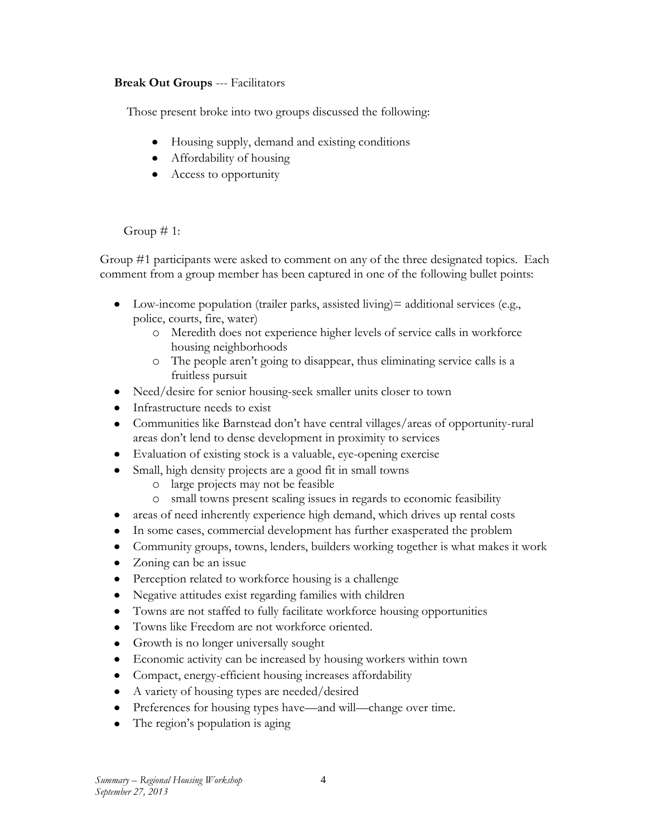## **Break Out Groups** --- Facilitators

Those present broke into two groups discussed the following:

- Housing supply, demand and existing conditions
- Affordability of housing
- Access to opportunity

Group  $\# 1$ :

Group #1 participants were asked to comment on any of the three designated topics. Each comment from a group member has been captured in one of the following bullet points:

- Low-income population (trailer parks, assisted living) = additional services (e.g., police, courts, fire, water)
	- o Meredith does not experience higher levels of service calls in workforce housing neighborhoods
	- o The people aren't going to disappear, thus eliminating service calls is a fruitless pursuit
- Need/desire for senior housing-seek smaller units closer to town
- Infrastructure needs to exist
- Communities like Barnstead don't have central villages/areas of opportunity-rural areas don't lend to dense development in proximity to services
- Evaluation of existing stock is a valuable, eye-opening exercise
- Small, high density projects are a good fit in small towns  $\bullet$ 
	- o large projects may not be feasible
	- small towns present scaling issues in regards to economic feasibility
- areas of need inherently experience high demand, which drives up rental costs
- In some cases, commercial development has further exasperated the problem
- Community groups, towns, lenders, builders working together is what makes it work
- Zoning can be an issue
- Perception related to workforce housing is a challenge
- Negative attitudes exist regarding families with children
- Towns are not staffed to fully facilitate workforce housing opportunities
- Towns like Freedom are not workforce oriented.
- Growth is no longer universally sought
- Economic activity can be increased by housing workers within town
- Compact, energy-efficient housing increases affordability
- A variety of housing types are needed/desired
- Preferences for housing types have—and will—change over time.
- The region's population is aging